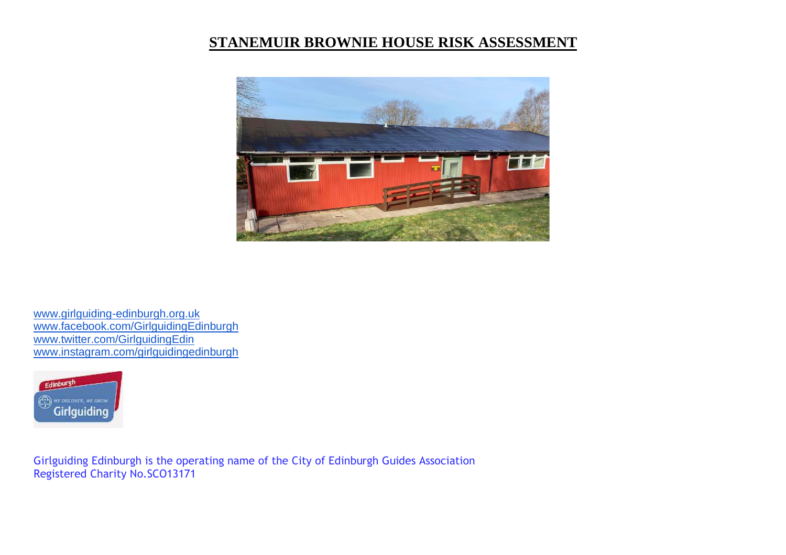## **STANEMUIR BROWNIE HOUSE RISK ASSESSMENT**



[www.girlguiding-edinburgh.org.uk](http://www.girlguiding-edinburgh.org.uk/) [www.facebook.com/GirlguidingEdinburgh](http://www.facebook.com/GirlguidingEdinburgh) [www.twitter.com/GirlguidingEdin](http://www.twitter.com/GirlguidingEdin) [www.instagram.com/girlguidingedinburgh](http://www.instagram.com/girlguidingedinburgh)



Girlguiding Edinburgh is the operating name of the City of Edinburgh Guides Association Registered Charity No.SCO13171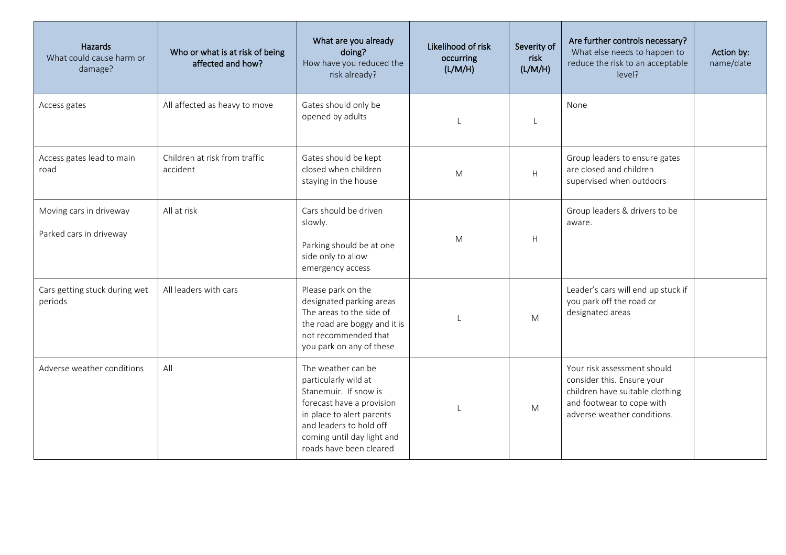| Hazards<br>What could cause harm or<br>damage?     | Who or what is at risk of being<br>affected and how? | What are you already<br>doing?<br>How have you reduced the<br>risk already?                                                                                                                                       | Likelihood of risk<br>occurring<br>(L/M/H) | Severity of<br>risk<br>(L/M/H) | Are further controls necessary?<br>What else needs to happen to<br>reduce the risk to an acceptable<br>level?                                            | Action by:<br>name/date |
|----------------------------------------------------|------------------------------------------------------|-------------------------------------------------------------------------------------------------------------------------------------------------------------------------------------------------------------------|--------------------------------------------|--------------------------------|----------------------------------------------------------------------------------------------------------------------------------------------------------|-------------------------|
| Access gates                                       | All affected as heavy to move                        | Gates should only be<br>opened by adults                                                                                                                                                                          |                                            | $\mathbf{I}$                   | None                                                                                                                                                     |                         |
| Access gates lead to main<br>road                  | Children at risk from traffic<br>accident            | Gates should be kept<br>closed when children<br>staying in the house                                                                                                                                              | M                                          | Н                              | Group leaders to ensure gates<br>are closed and children<br>supervised when outdoors                                                                     |                         |
| Moving cars in driveway<br>Parked cars in driveway | All at risk                                          | Cars should be driven<br>slowly.<br>Parking should be at one<br>side only to allow<br>emergency access                                                                                                            | M                                          | H                              | Group leaders & drivers to be<br>aware.                                                                                                                  |                         |
| Cars getting stuck during wet<br>periods           | All leaders with cars                                | Please park on the<br>designated parking areas<br>The areas to the side of<br>the road are boggy and it is<br>not recommended that<br>you park on any of these                                                    | $\mathbf{I}$                               | M                              | Leader's cars will end up stuck if<br>you park off the road or<br>designated areas                                                                       |                         |
| Adverse weather conditions                         | All                                                  | The weather can be<br>particularly wild at<br>Stanemuir. If snow is<br>forecast have a provision<br>in place to alert parents<br>and leaders to hold off<br>coming until day light and<br>roads have been cleared | $\mathbf{I}$                               | M                              | Your risk assessment should<br>consider this. Ensure your<br>children have suitable clothing<br>and footwear to cope with<br>adverse weather conditions. |                         |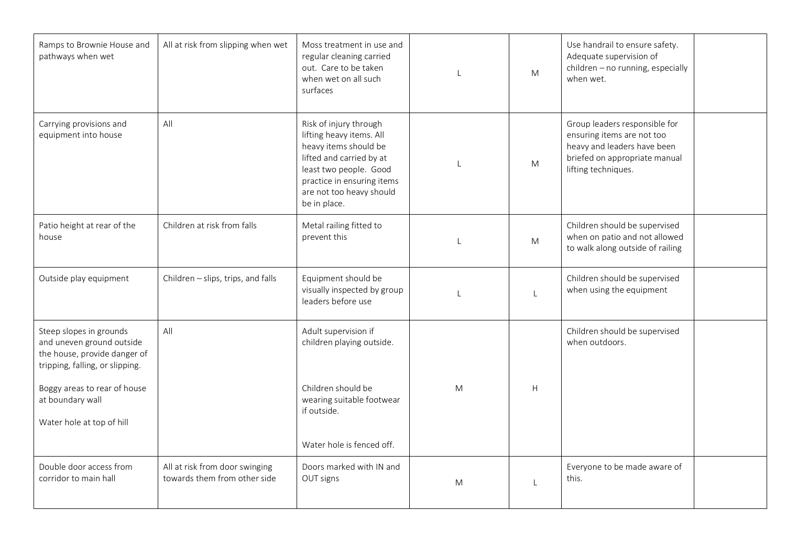| Ramps to Brownie House and<br>pathways when wet                                                                         | All at risk from slipping when wet                             | Moss treatment in use and<br>regular cleaning carried<br>out. Care to be taken<br>when wet on all such<br>surfaces                                                                                          |   | M                         | Use handrail to ensure safety.<br>Adequate supervision of<br>children - no running, especially<br>when wet.                                        |
|-------------------------------------------------------------------------------------------------------------------------|----------------------------------------------------------------|-------------------------------------------------------------------------------------------------------------------------------------------------------------------------------------------------------------|---|---------------------------|----------------------------------------------------------------------------------------------------------------------------------------------------|
| Carrying provisions and<br>equipment into house                                                                         | All                                                            | Risk of injury through<br>lifting heavy items. All<br>heavy items should be<br>lifted and carried by at<br>least two people. Good<br>practice in ensuring items<br>are not too heavy should<br>be in place. |   | ${\sf M}$                 | Group leaders responsible for<br>ensuring items are not too<br>heavy and leaders have been<br>briefed on appropriate manual<br>lifting techniques. |
| Patio height at rear of the<br>house                                                                                    | Children at risk from falls                                    | Metal railing fitted to<br>prevent this                                                                                                                                                                     |   | M                         | Children should be supervised<br>when on patio and not allowed<br>to walk along outside of railing                                                 |
| Outside play equipment                                                                                                  | Children - slips, trips, and falls                             | Equipment should be<br>visually inspected by group<br>leaders before use                                                                                                                                    |   |                           | Children should be supervised<br>when using the equipment                                                                                          |
| Steep slopes in grounds<br>and uneven ground outside<br>the house, provide danger of<br>tripping, falling, or slipping. | All                                                            | Adult supervision if<br>children playing outside.                                                                                                                                                           |   |                           | Children should be supervised<br>when outdoors.                                                                                                    |
| Boggy areas to rear of house<br>at boundary wall<br>Water hole at top of hill                                           |                                                                | Children should be<br>wearing suitable footwear<br>if outside.                                                                                                                                              | M | $\boldsymbol{\mathsf{H}}$ |                                                                                                                                                    |
|                                                                                                                         |                                                                | Water hole is fenced off.                                                                                                                                                                                   |   |                           |                                                                                                                                                    |
| Double door access from<br>corridor to main hall                                                                        | All at risk from door swinging<br>towards them from other side | Doors marked with IN and<br>OUT signs                                                                                                                                                                       | M |                           | Everyone to be made aware of<br>this.                                                                                                              |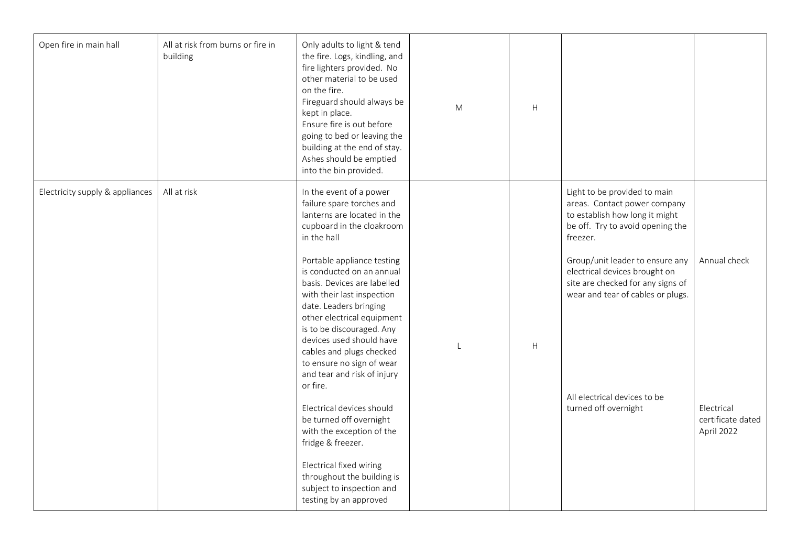| Open fire in main hall          | All at risk from burns or fire in<br>building | Only adults to light & tend<br>the fire. Logs, kindling, and<br>fire lighters provided. No<br>other material to be used<br>on the fire.<br>Fireguard should always be<br>kept in place.<br>Ensure fire is out before<br>going to bed or leaving the<br>building at the end of stay.<br>Ashes should be emptied<br>into the bin provided. | M              | H                         |                                                                                                                                                |                                               |
|---------------------------------|-----------------------------------------------|------------------------------------------------------------------------------------------------------------------------------------------------------------------------------------------------------------------------------------------------------------------------------------------------------------------------------------------|----------------|---------------------------|------------------------------------------------------------------------------------------------------------------------------------------------|-----------------------------------------------|
| Electricity supply & appliances | All at risk                                   | In the event of a power<br>failure spare torches and<br>lanterns are located in the<br>cupboard in the cloakroom<br>in the hall                                                                                                                                                                                                          |                |                           | Light to be provided to main<br>areas. Contact power company<br>to establish how long it might<br>be off. Try to avoid opening the<br>freezer. |                                               |
|                                 |                                               | Portable appliance testing<br>is conducted on an annual<br>basis. Devices are labelled<br>with their last inspection<br>date. Leaders bringing<br>other electrical equipment<br>is to be discouraged. Any<br>devices used should have<br>cables and plugs checked<br>to ensure no sign of wear                                           | $\overline{1}$ | $\boldsymbol{\mathsf{H}}$ | Group/unit leader to ensure any<br>electrical devices brought on<br>site are checked for any signs of<br>wear and tear of cables or plugs.     | Annual check                                  |
|                                 |                                               | and tear and risk of injury<br>or fire.<br>Electrical devices should<br>be turned off overnight<br>with the exception of the<br>fridge & freezer.                                                                                                                                                                                        |                |                           | All electrical devices to be<br>turned off overnight                                                                                           | Electrical<br>certificate dated<br>April 2022 |
|                                 |                                               | Electrical fixed wiring<br>throughout the building is<br>subject to inspection and<br>testing by an approved                                                                                                                                                                                                                             |                |                           |                                                                                                                                                |                                               |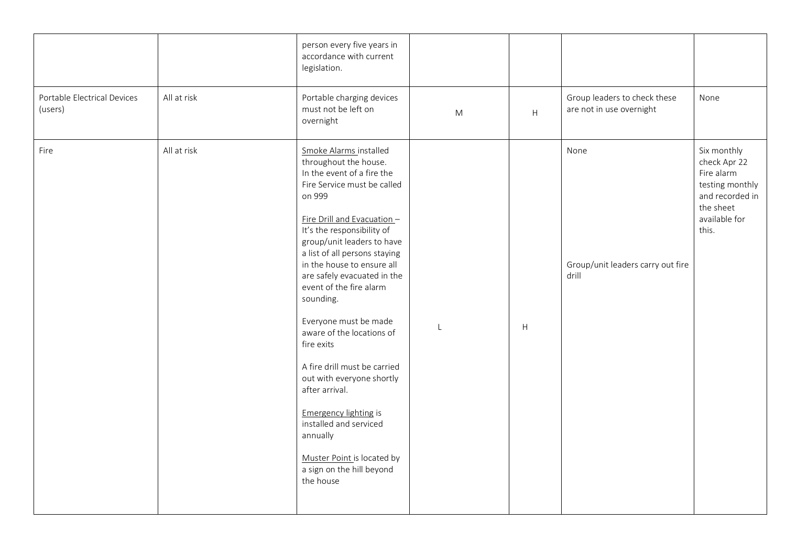|                                        |             | person every five years in<br>accordance with current<br>legislation.                                                                                                                                                                                                                                                                                                                                                                                                                                                                                                                                                                                    |           |                           |                                                          |                                                                                                                        |
|----------------------------------------|-------------|----------------------------------------------------------------------------------------------------------------------------------------------------------------------------------------------------------------------------------------------------------------------------------------------------------------------------------------------------------------------------------------------------------------------------------------------------------------------------------------------------------------------------------------------------------------------------------------------------------------------------------------------------------|-----------|---------------------------|----------------------------------------------------------|------------------------------------------------------------------------------------------------------------------------|
| Portable Electrical Devices<br>(users) | All at risk | Portable charging devices<br>must not be left on<br>overnight                                                                                                                                                                                                                                                                                                                                                                                                                                                                                                                                                                                            | ${\sf M}$ | $\boldsymbol{\mathsf{H}}$ | Group leaders to check these<br>are not in use overnight | None                                                                                                                   |
| Fire                                   | All at risk | Smoke Alarms installed<br>throughout the house.<br>In the event of a fire the<br>Fire Service must be called<br>on 999<br>Fire Drill and Evacuation -<br>It's the responsibility of<br>group/unit leaders to have<br>a list of all persons staying<br>in the house to ensure all<br>are safely evacuated in the<br>event of the fire alarm<br>sounding.<br>Everyone must be made<br>aware of the locations of<br>fire exits<br>A fire drill must be carried<br>out with everyone shortly<br>after arrival.<br><b>Emergency lighting is</b><br>installed and serviced<br>annually<br>Muster Point is located by<br>a sign on the hill beyond<br>the house | L         | H                         | None<br>Group/unit leaders carry out fire<br>drill       | Six monthly<br>check Apr 22<br>Fire alarm<br>testing monthly<br>and recorded in<br>the sheet<br>available for<br>this. |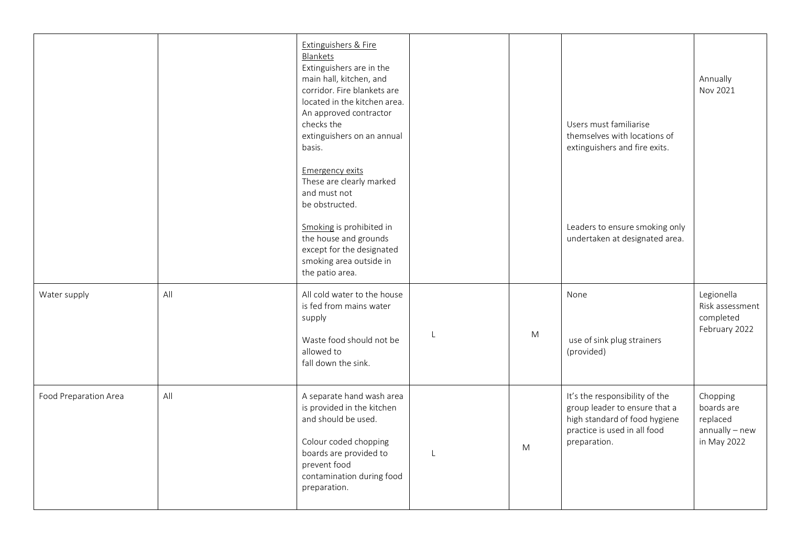|                       |     | Extinguishers & Fire<br>Blankets<br>Extinguishers are in the<br>main hall, kitchen, and<br>corridor. Fire blankets are<br>located in the kitchen area.<br>An approved contractor<br>checks the<br>extinguishers on an annual |   | Users must familiarise<br>themselves with locations of                                                                                           | Annually<br>Nov 2021                                                  |
|-----------------------|-----|------------------------------------------------------------------------------------------------------------------------------------------------------------------------------------------------------------------------------|---|--------------------------------------------------------------------------------------------------------------------------------------------------|-----------------------------------------------------------------------|
|                       |     | basis.<br>Emergency exits<br>These are clearly marked<br>and must not<br>be obstructed.<br>Smoking is prohibited in<br>the house and grounds<br>except for the designated<br>smoking area outside in<br>the patio area.      |   | extinguishers and fire exits.<br>Leaders to ensure smoking only<br>undertaken at designated area.                                                |                                                                       |
| Water supply          | All | All cold water to the house<br>is fed from mains water<br>supply<br>Waste food should not be<br>allowed to<br>fall down the sink.                                                                                            | M | None<br>use of sink plug strainers<br>(provided)                                                                                                 | Legionella<br>Risk assessment<br>completed<br>February 2022           |
| Food Preparation Area | All | A separate hand wash area<br>is provided in the kitchen<br>and should be used.<br>Colour coded chopping<br>boards are provided to<br>prevent food<br>contamination during food<br>preparation.                               | M | It's the responsibility of the<br>group leader to ensure that a<br>high standard of food hygiene<br>practice is used in all food<br>preparation. | Chopping<br>boards are<br>replaced<br>$annually - new$<br>in May 2022 |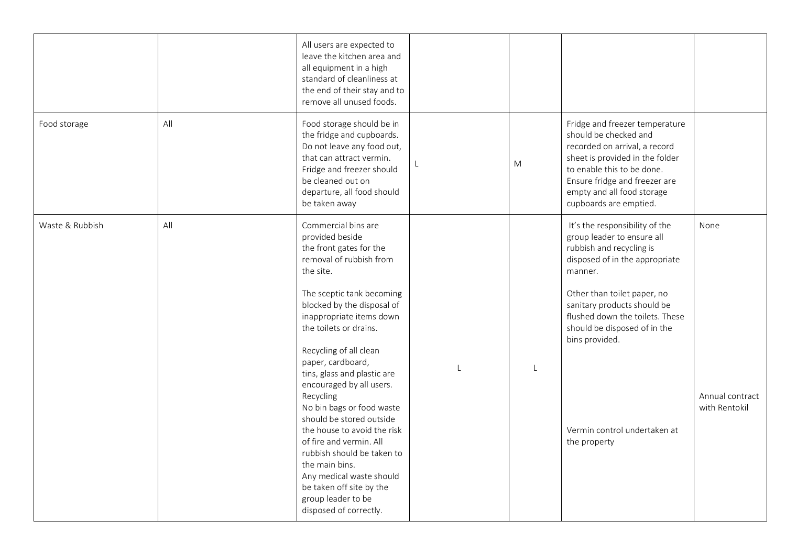|                 |     | All users are expected to<br>leave the kitchen area and<br>all equipment in a high<br>standard of cleanliness at<br>the end of their stay and to<br>remove all unused foods.                                                                                                                                                                                                                                                                                                                                                                                                                                                 |   |   |                                                                                                                                                                                                                                                                                                                                          |                                          |
|-----------------|-----|------------------------------------------------------------------------------------------------------------------------------------------------------------------------------------------------------------------------------------------------------------------------------------------------------------------------------------------------------------------------------------------------------------------------------------------------------------------------------------------------------------------------------------------------------------------------------------------------------------------------------|---|---|------------------------------------------------------------------------------------------------------------------------------------------------------------------------------------------------------------------------------------------------------------------------------------------------------------------------------------------|------------------------------------------|
| Food storage    | All | Food storage should be in<br>the fridge and cupboards.<br>Do not leave any food out,<br>that can attract vermin.<br>Fridge and freezer should<br>be cleaned out on<br>departure, all food should<br>be taken away                                                                                                                                                                                                                                                                                                                                                                                                            |   | M | Fridge and freezer temperature<br>should be checked and<br>recorded on arrival, a record<br>sheet is provided in the folder<br>to enable this to be done.<br>Ensure fridge and freezer are<br>empty and all food storage<br>cupboards are emptied.                                                                                       |                                          |
| Waste & Rubbish | All | Commercial bins are<br>provided beside<br>the front gates for the<br>removal of rubbish from<br>the site.<br>The sceptic tank becoming<br>blocked by the disposal of<br>inappropriate items down<br>the toilets or drains.<br>Recycling of all clean<br>paper, cardboard,<br>tins, glass and plastic are<br>encouraged by all users.<br>Recycling<br>No bin bags or food waste<br>should be stored outside<br>the house to avoid the risk<br>of fire and vermin. All<br>rubbish should be taken to<br>the main bins.<br>Any medical waste should<br>be taken off site by the<br>group leader to be<br>disposed of correctly. | L | L | It's the responsibility of the<br>group leader to ensure all<br>rubbish and recycling is<br>disposed of in the appropriate<br>manner.<br>Other than toilet paper, no<br>sanitary products should be<br>flushed down the toilets. These<br>should be disposed of in the<br>bins provided.<br>Vermin control undertaken at<br>the property | None<br>Annual contract<br>with Rentokil |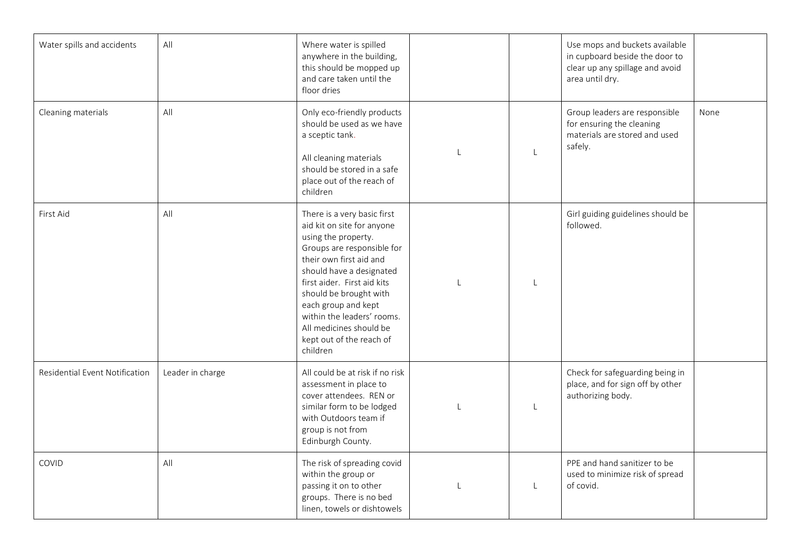| Water spills and accidents     | All              | Where water is spilled<br>anywhere in the building,<br>this should be mopped up<br>and care taken until the<br>floor dries                                                                                                                                                                                                                             |              |              | Use mops and buckets available<br>in cupboard beside the door to<br>clear up any spillage and avoid<br>area until dry. |      |
|--------------------------------|------------------|--------------------------------------------------------------------------------------------------------------------------------------------------------------------------------------------------------------------------------------------------------------------------------------------------------------------------------------------------------|--------------|--------------|------------------------------------------------------------------------------------------------------------------------|------|
| Cleaning materials             | All              | Only eco-friendly products<br>should be used as we have<br>a sceptic tank.<br>All cleaning materials<br>should be stored in a safe<br>place out of the reach of<br>children                                                                                                                                                                            |              | $\mathsf{L}$ | Group leaders are responsible<br>for ensuring the cleaning<br>materials are stored and used<br>safely.                 | None |
| First Aid                      | All              | There is a very basic first<br>aid kit on site for anyone<br>using the property.<br>Groups are responsible for<br>their own first aid and<br>should have a designated<br>first aider. First aid kits<br>should be brought with<br>each group and kept<br>within the leaders' rooms.<br>All medicines should be<br>kept out of the reach of<br>children | L            | L            | Girl guiding guidelines should be<br>followed.                                                                         |      |
| Residential Event Notification | Leader in charge | All could be at risk if no risk<br>assessment in place to<br>cover attendees. REN or<br>similar form to be lodged<br>with Outdoors team if<br>group is not from<br>Edinburgh County.                                                                                                                                                                   | $\mathbf{I}$ | L            | Check for safeguarding being in<br>place, and for sign off by other<br>authorizing body.                               |      |
| COVID                          | All              | The risk of spreading covid<br>within the group or<br>passing it on to other<br>groups. There is no bed<br>linen, towels or dishtowels                                                                                                                                                                                                                 |              | $\mathsf{L}$ | PPE and hand sanitizer to be<br>used to minimize risk of spread<br>of covid.                                           |      |